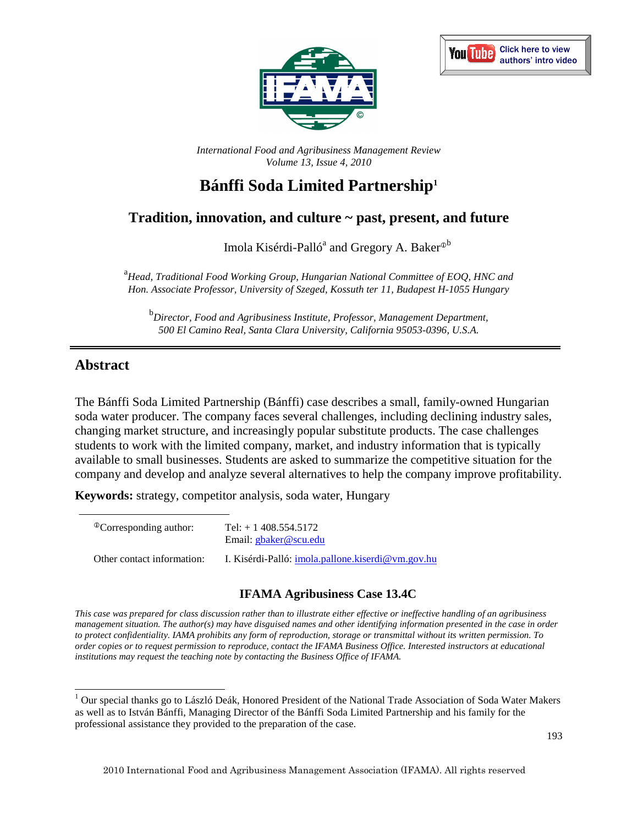



*International Food and Agribusiness Management Review Volume 13, Issue 4, 2010*

# **Bánffi Soda Limited Partnership<sup>1</sup>**

# **Tradition, innovation, and culture ~ past, present, and future**

Imola Kisérdi-Palló<sup>a</sup> and Gregory A. Baker<sup>®b</sup>

<sup>a</sup><br>*Head, Traditional Food Working Group, Hungarian National Committee of EOQ, HNC and Hon. Associate Professor, University of Szeged, Kossuth ter 11, Budapest H-1055 Hungary* 

b *Director, Food and Agribusiness Institute, Professor, Management Department, 500 El Camino Real, Santa Clara University, California 95053-0396, U.S.A.* 

# **Abstract**

The Bánffi Soda Limited Partnership (Bánffi) case describes a small, family-owned Hungarian soda water producer. The company faces several challenges, including declining industry sales, changing market structure, and increasingly popular substitute products. The case challenges students to work with the limited company, market, and industry information that is typically available to small businesses. Students are asked to summarize the competitive situation for the company and develop and analyze several alternatives to help the company improve profitability.

**Keywords:** strategy, competitor analysis, soda water, Hungary

| <sup>®</sup> Corresponding author: | Tel: $+1408.554.5172$<br>Email: gbaker@scu.edu           |
|------------------------------------|----------------------------------------------------------|
| Other contact information:         | I. Kisérdi-Palló: <i>imola.pallone.kiserdi@vm.gov.hu</i> |

## **IFAMA Agribusiness Case 13.4C**

*This case was prepared for class discussion rather than to illustrate either effective or ineffective handling of an agribusiness management situation. The author(s) may have disguised names and other identifying information presented in the case in order to protect confidentiality. IAMA prohibits any form of reproduction, storage or transmittal without its written permission. To order copies or to request permission to reproduce, contact the IFAMA Business Office. Interested instructors at educational institutions may request the teaching note by contacting the Business Office of IFAMA.* 

<sup>1&</sup>lt;br><sup>1</sup> Our special thanks go to László Deák, Honored President of the National Trade Association of Soda Water Makers as well as to István Bánffi, Managing Director of the Bánffi Soda Limited Partnership and his family for the professional assistance they provided to the preparation of the case.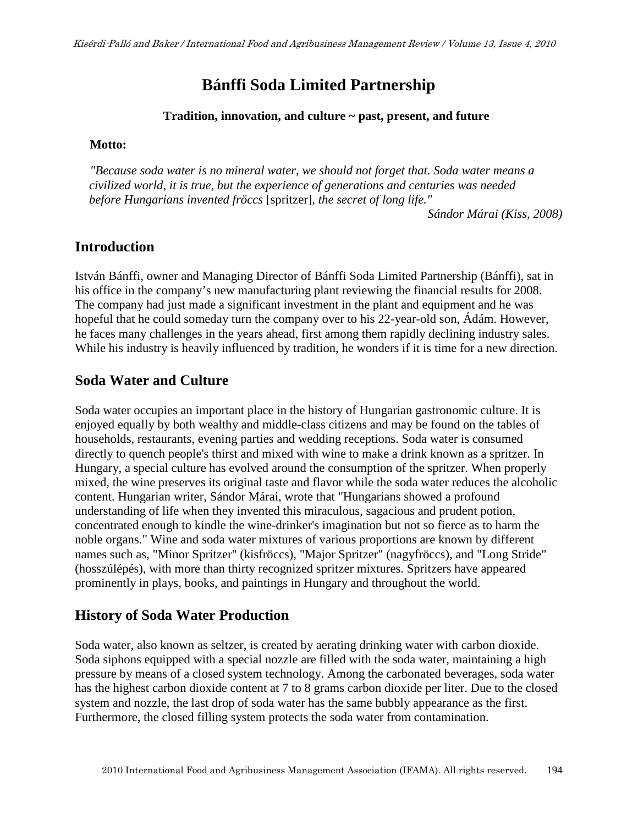# **Bánffi Soda Limited Partnership**

### **Tradition, innovation, and culture ~ past, present, and future**

### **Motto:**

*"Because soda water is no mineral water, we should not forget that. Soda water means a civilized world, it is true, but the experience of generations and centuries was needed before Hungarians invented fröccs* [spritzer]*, the secret of long life."* 

*Sándor Márai (Kiss, 2008)* 

## **Introduction**

István Bánffi, owner and Managing Director of Bánffi Soda Limited Partnership (Bánffi), sat in his office in the company's new manufacturing plant reviewing the financial results for 2008. The company had just made a significant investment in the plant and equipment and he was hopeful that he could someday turn the company over to his 22-year-old son, Ádám. However, he faces many challenges in the years ahead, first among them rapidly declining industry sales. While his industry is heavily influenced by tradition, he wonders if it is time for a new direction.

# **Soda Water and Culture**

Soda water occupies an important place in the history of Hungarian gastronomic culture. It is enjoyed equally by both wealthy and middle-class citizens and may be found on the tables of households, restaurants, evening parties and wedding receptions. Soda water is consumed directly to quench people's thirst and mixed with wine to make a drink known as a spritzer. In Hungary, a special culture has evolved around the consumption of the spritzer. When properly mixed, the wine preserves its original taste and flavor while the soda water reduces the alcoholic content. Hungarian writer, Sándor Márai, wrote that "Hungarians showed a profound understanding of life when they invented this miraculous, sagacious and prudent potion, concentrated enough to kindle the wine-drinker's imagination but not so fierce as to harm the noble organs." Wine and soda water mixtures of various proportions are known by different names such as, "Minor Spritzer" (kisfröccs), "Major Spritzer" (nagyfröccs), and "Long Stride" (hosszúlépés), with more than thirty recognized spritzer mixtures. Spritzers have appeared prominently in plays, books, and paintings in Hungary and throughout the world.

# **History of Soda Water Production**

Soda water, also known as seltzer, is created by aerating drinking water with carbon dioxide. Soda siphons equipped with a special nozzle are filled with the soda water, maintaining a high pressure by means of a closed system technology. Among the carbonated beverages, soda water has the highest carbon dioxide content at 7 to 8 grams carbon dioxide per liter. Due to the closed system and nozzle, the last drop of soda water has the same bubbly appearance as the first. Furthermore, the closed filling system protects the soda water from contamination.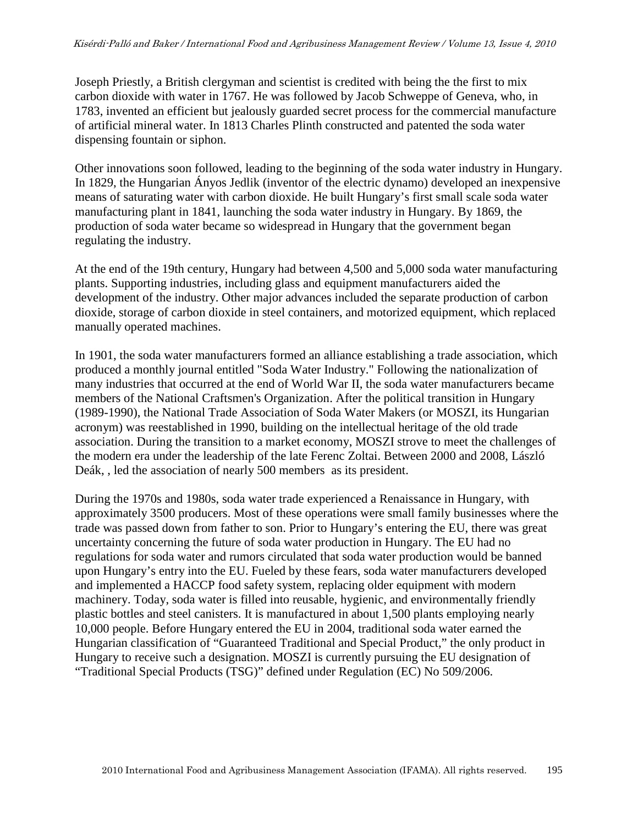Joseph Priestly, a British clergyman and scientist is credited with being the the first to mix carbon dioxide with water in 1767. He was followed by Jacob Schweppe of Geneva, who, in 1783, invented an efficient but jealously guarded secret process for the commercial manufacture of artificial mineral water. In 1813 Charles Plinth constructed and patented the soda water dispensing fountain or siphon.

Other innovations soon followed, leading to the beginning of the soda water industry in Hungary. In 1829, the Hungarian Ányos Jedlik (inventor of the electric dynamo) developed an inexpensive means of saturating water with carbon dioxide. He built Hungary's first small scale soda water manufacturing plant in 1841, launching the soda water industry in Hungary. By 1869, the production of soda water became so widespread in Hungary that the government began regulating the industry.

At the end of the 19th century, Hungary had between 4,500 and 5,000 soda water manufacturing plants. Supporting industries, including glass and equipment manufacturers aided the development of the industry. Other major advances included the separate production of carbon dioxide, storage of carbon dioxide in steel containers, and motorized equipment, which replaced manually operated machines.

In 1901, the soda water manufacturers formed an alliance establishing a trade association, which produced a monthly journal entitled "Soda Water Industry." Following the nationalization of many industries that occurred at the end of World War II, the soda water manufacturers became members of the National Craftsmen's Organization. After the political transition in Hungary (1989-1990), the National Trade Association of Soda Water Makers (or MOSZI, its Hungarian acronym) was reestablished in 1990, building on the intellectual heritage of the old trade association. During the transition to a market economy, MOSZI strove to meet the challenges of the modern era under the leadership of the late Ferenc Zoltai. Between 2000 and 2008, László Deák, , led the association of nearly 500 members as its president.

During the 1970s and 1980s, soda water trade experienced a Renaissance in Hungary, with approximately 3500 producers. Most of these operations were small family businesses where the trade was passed down from father to son. Prior to Hungary's entering the EU, there was great uncertainty concerning the future of soda water production in Hungary. The EU had no regulations for soda water and rumors circulated that soda water production would be banned upon Hungary's entry into the EU. Fueled by these fears, soda water manufacturers developed and implemented a HACCP food safety system, replacing older equipment with modern machinery. Today, soda water is filled into reusable, hygienic, and environmentally friendly plastic bottles and steel canisters. It is manufactured in about 1,500 plants employing nearly 10,000 people. Before Hungary entered the EU in 2004, traditional soda water earned the Hungarian classification of "Guaranteed Traditional and Special Product," the only product in Hungary to receive such a designation. MOSZI is currently pursuing the EU designation of "Traditional Special Products (TSG)" defined under Regulation (EC) No 509/2006.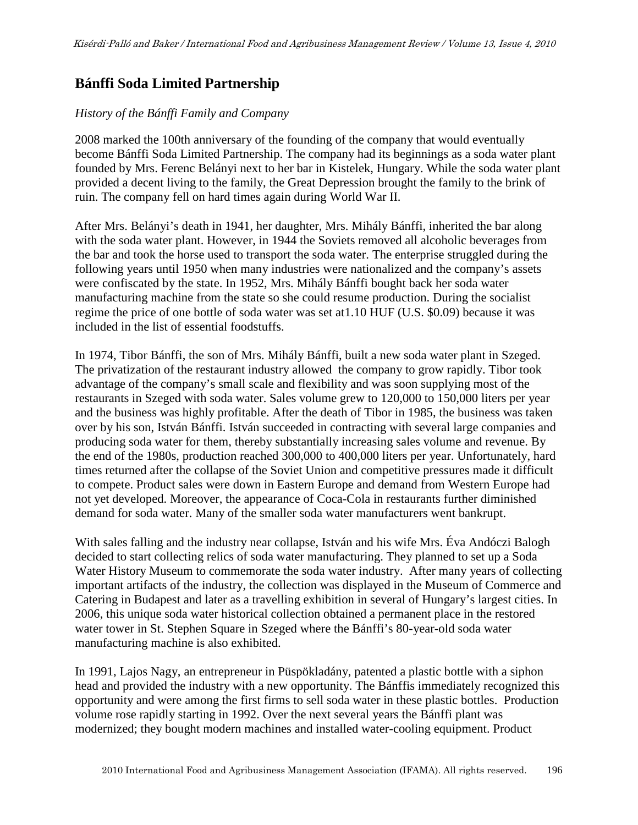# **Bánffi Soda Limited Partnership**

### *History of the Bánffi Family and Company*

2008 marked the 100th anniversary of the founding of the company that would eventually become Bánffi Soda Limited Partnership. The company had its beginnings as a soda water plant founded by Mrs. Ferenc Belányi next to her bar in Kistelek, Hungary. While the soda water plant provided a decent living to the family, the Great Depression brought the family to the brink of ruin. The company fell on hard times again during World War II.

After Mrs. Belányi's death in 1941, her daughter, Mrs. Mihály Bánffi, inherited the bar along with the soda water plant. However, in 1944 the Soviets removed all alcoholic beverages from the bar and took the horse used to transport the soda water. The enterprise struggled during the following years until 1950 when many industries were nationalized and the company's assets were confiscated by the state. In 1952, Mrs. Mihály Bánffi bought back her soda water manufacturing machine from the state so she could resume production. During the socialist regime the price of one bottle of soda water was set at1.10 HUF (U.S. \$0.09) because it was included in the list of essential foodstuffs.

In 1974, Tibor Bánffi, the son of Mrs. Mihály Bánffi, built a new soda water plant in Szeged. The privatization of the restaurant industry allowed the company to grow rapidly. Tibor took advantage of the company's small scale and flexibility and was soon supplying most of the restaurants in Szeged with soda water. Sales volume grew to 120,000 to 150,000 liters per year and the business was highly profitable. After the death of Tibor in 1985, the business was taken over by his son, István Bánffi. István succeeded in contracting with several large companies and producing soda water for them, thereby substantially increasing sales volume and revenue. By the end of the 1980s, production reached 300,000 to 400,000 liters per year. Unfortunately, hard times returned after the collapse of the Soviet Union and competitive pressures made it difficult to compete. Product sales were down in Eastern Europe and demand from Western Europe had not yet developed. Moreover, the appearance of Coca-Cola in restaurants further diminished demand for soda water. Many of the smaller soda water manufacturers went bankrupt.

With sales falling and the industry near collapse, István and his wife Mrs. Éva Andóczi Balogh decided to start collecting relics of soda water manufacturing. They planned to set up a Soda Water History Museum to commemorate the soda water industry. After many years of collecting important artifacts of the industry, the collection was displayed in the Museum of Commerce and Catering in Budapest and later as a travelling exhibition in several of Hungary's largest cities. In 2006, this unique soda water historical collection obtained a permanent place in the restored water tower in St. Stephen Square in Szeged where the Bánffi's 80-year-old soda water manufacturing machine is also exhibited.

In 1991, Lajos Nagy, an entrepreneur in Püspökladány, patented a plastic bottle with a siphon head and provided the industry with a new opportunity. The Bánffis immediately recognized this opportunity and were among the first firms to sell soda water in these plastic bottles. Production volume rose rapidly starting in 1992. Over the next several years the Bánffi plant was modernized; they bought modern machines and installed water-cooling equipment. Product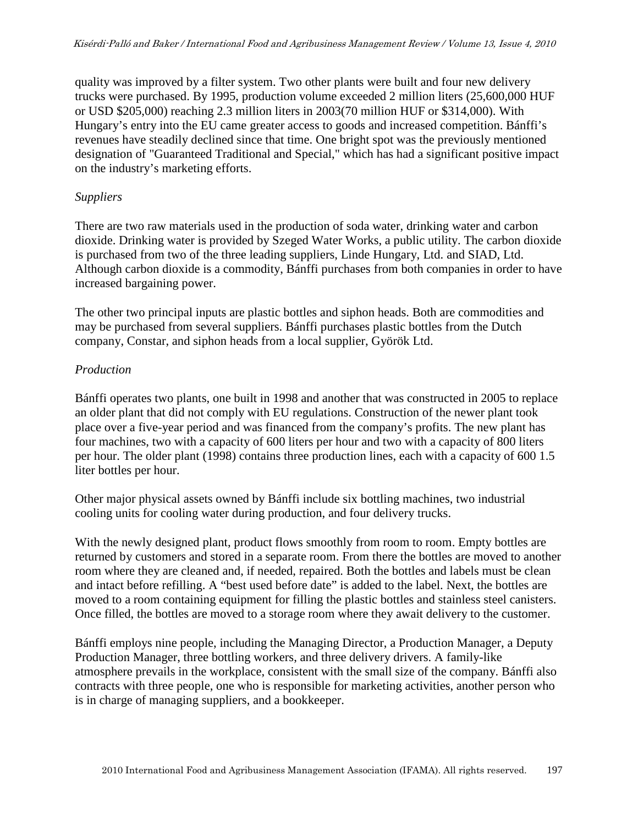quality was improved by a filter system. Two other plants were built and four new delivery trucks were purchased. By 1995, production volume exceeded 2 million liters (25,600,000 HUF or USD \$205,000) reaching 2.3 million liters in 2003(70 million HUF or \$314,000). With Hungary's entry into the EU came greater access to goods and increased competition. Bánffi's revenues have steadily declined since that time. One bright spot was the previously mentioned designation of "Guaranteed Traditional and Special," which has had a significant positive impact on the industry's marketing efforts.

### *Suppliers*

There are two raw materials used in the production of soda water, drinking water and carbon dioxide. Drinking water is provided by Szeged Water Works, a public utility. The carbon dioxide is purchased from two of the three leading suppliers, Linde Hungary, Ltd. and SIAD, Ltd. Although carbon dioxide is a commodity, Bánffi purchases from both companies in order to have increased bargaining power.

The other two principal inputs are plastic bottles and siphon heads. Both are commodities and may be purchased from several suppliers. Bánffi purchases plastic bottles from the Dutch company, Constar, and siphon heads from a local supplier, Györök Ltd.

## *Production*

Bánffi operates two plants, one built in 1998 and another that was constructed in 2005 to replace an older plant that did not comply with EU regulations. Construction of the newer plant took place over a five-year period and was financed from the company's profits. The new plant has four machines, two with a capacity of 600 liters per hour and two with a capacity of 800 liters per hour. The older plant (1998) contains three production lines, each with a capacity of 600 1.5 liter bottles per hour.

Other major physical assets owned by Bánffi include six bottling machines, two industrial cooling units for cooling water during production, and four delivery trucks.

With the newly designed plant, product flows smoothly from room to room. Empty bottles are returned by customers and stored in a separate room. From there the bottles are moved to another room where they are cleaned and, if needed, repaired. Both the bottles and labels must be clean and intact before refilling. A "best used before date" is added to the label. Next, the bottles are moved to a room containing equipment for filling the plastic bottles and stainless steel canisters. Once filled, the bottles are moved to a storage room where they await delivery to the customer.

Bánffi employs nine people, including the Managing Director, a Production Manager, a Deputy Production Manager, three bottling workers, and three delivery drivers. A family-like atmosphere prevails in the workplace, consistent with the small size of the company. Bánffi also contracts with three people, one who is responsible for marketing activities, another person who is in charge of managing suppliers, and a bookkeeper.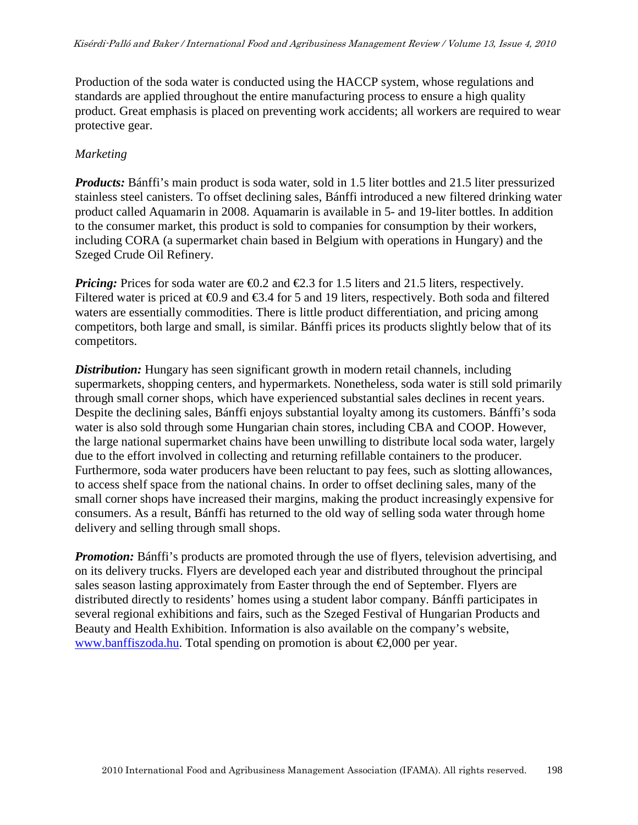Production of the soda water is conducted using the HACCP system, whose regulations and standards are applied throughout the entire manufacturing process to ensure a high quality product. Great emphasis is placed on preventing work accidents; all workers are required to wear protective gear.

#### *Marketing*

*Products:* Bánffi's main product is soda water, sold in 1.5 liter bottles and 21.5 liter pressurized stainless steel canisters. To offset declining sales, Bánffi introduced a new filtered drinking water product called Aquamarin in 2008. Aquamarin is available in 5- and 19-liter bottles. In addition to the consumer market, this product is sold to companies for consumption by their workers, including CORA (a supermarket chain based in Belgium with operations in Hungary) and the Szeged Crude Oil Refinery.

*Pricing:* Prices for soda water are  $\epsilon 0.2$  and  $\epsilon 2.3$  for 1.5 liters and 21.5 liters, respectively. Filtered water is priced at  $\epsilon 0.9$  and  $\epsilon 3.4$  for 5 and 9 liters, respectively. Both soda and filtered waters are essentially commodities. There is little product differentiation, and pricing among competitors, both large and small, is similar. Bánffi prices its products slightly below that of its competitors.

**Distribution:** Hungary has seen significant growth in modern retail channels, including supermarkets, shopping centers, and hypermarkets. Nonetheless, soda water is still sold primarily through small corner shops, which have experienced substantial sales declines in recent years. Despite the declining sales, Bánffi enjoys substantial loyalty among its customers. Bánffi's soda water is also sold through some Hungarian chain stores, including CBA and COOP. However, the large national supermarket chains have been unwilling to distribute local soda water, largely due to the effort involved in collecting and returning refillable containers to the producer. Furthermore, soda water producers have been reluctant to pay fees, such as slotting allowances, to access shelf space from the national chains. In order to offset declining sales, many of the small corner shops have increased their margins, making the product increasingly expensive for consumers. As a result, Bánffi has returned to the old way of selling soda water through home delivery and selling through small shops.

*Promotion:* Bánffi's products are promoted through the use of flyers, television advertising, and on its delivery trucks. Flyers are developed each year and distributed throughout the principal sales season lasting approximately from Easter through the end of September. Flyers are distributed directly to residents' homes using a student labor company. Bánffi participates in several regional exhibitions and fairs, such as the Szeged Festival of Hungarian Products and Beauty and Health Exhibition. Information is also available on the company's website, www.banffiszoda.hu. Total spending on promotion is about  $\epsilon$ 2,000 per year.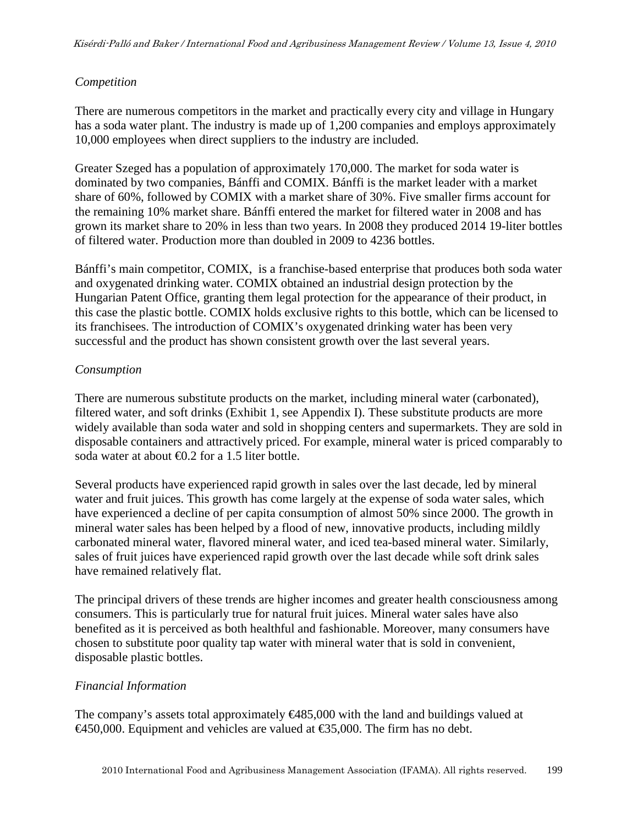## *Competition*

There are numerous competitors in the market and practically every city and village in Hungary has a soda water plant. The industry is made up of 1,200 companies and employs approximately 10,000 employees when direct suppliers to the industry are included.

Greater Szeged has a population of approximately 170,000. The market for soda water is dominated by two companies, Bánffi and COMIX. Bánffi is the market leader with a market share of 60%, followed by COMIX with a market share of 30%. Five smaller firms account for the remaining 10% market share. Bánffi entered the market for filtered water in 2008 and has grown its market share to 20% in less than two years. In 2008 they produced 2014 19-liter bottles of filtered water. Production more than doubled in 2009 to 4236 bottles.

Bánffi's main competitor, COMIX, is a franchise-based enterprise that produces both soda water and oxygenated drinking water. COMIX obtained an industrial design protection by the Hungarian Patent Office, granting them legal protection for the appearance of their product, in this case the plastic bottle. COMIX holds exclusive rights to this bottle, which can be licensed to its franchisees. The introduction of COMIX's oxygenated drinking water has been very successful and the product has shown consistent growth over the last several years.

## *Consumption*

There are numerous substitute products on the market, including mineral water (carbonated), filtered water, and soft drinks (Exhibit 1, see Appendix I). These substitute products are more widely available than soda water and sold in shopping centers and supermarkets. They are sold in disposable containers and attractively priced. For example, mineral water is priced comparably to soda water at about €0.2 for a 1.5 liter bottle.

Several products have experienced rapid growth in sales over the last decade, led by mineral water and fruit juices. This growth has come largely at the expense of soda water sales, which have experienced a decline of per capita consumption of almost 50% since 2000. The growth in mineral water sales has been helped by a flood of new, innovative products, including mildly carbonated mineral water, flavored mineral water, and iced tea-based mineral water. Similarly, sales of fruit juices have experienced rapid growth over the last decade while soft drink sales have remained relatively flat.

The principal drivers of these trends are higher incomes and greater health consciousness among consumers. This is particularly true for natural fruit juices. Mineral water sales have also benefited as it is perceived as both healthful and fashionable. Moreover, many consumers have chosen to substitute poor quality tap water with mineral water that is sold in convenient, disposable plastic bottles.

## *Financial Information*

The company's assets total approximately  $\epsilon$ 485,000 with the land and buildings valued at €450,000. Equipment and vehicles are valued at €35000. The firm has no debt.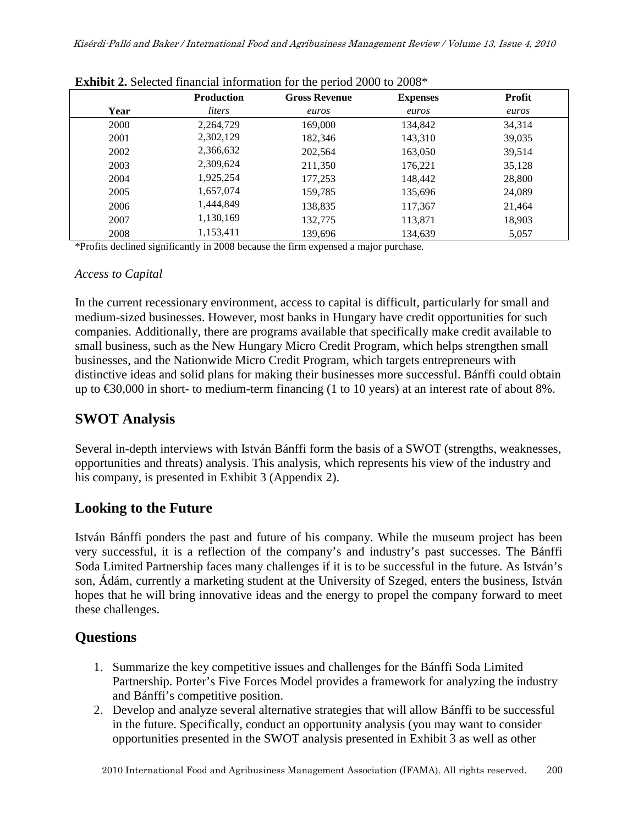|      | <b>Production</b> | <b>Gross Revenue</b> | <b>Expenses</b> | <b>Profit</b> |
|------|-------------------|----------------------|-----------------|---------------|
| Year | liters            | euros                | euros           | euros         |
| 2000 | 2,264,729         | 169,000              | 134,842         | 34,314        |
| 2001 | 2,302,129         | 182,346              | 143,310         | 39,035        |
| 2002 | 2,366,632         | 202,564              | 163,050         | 39,514        |
| 2003 | 2,309,624         | 211,350              | 176,221         | 35,128        |
| 2004 | 1,925,254         | 177,253              | 148,442         | 28,800        |
| 2005 | 1,657,074         | 159,785              | 135,696         | 24,089        |
| 2006 | 1,444,849         | 138,835              | 117,367         | 21,464        |
| 2007 | 1,130,169         | 132,775              | 113,871         | 18,903        |
| 2008 | 1,153,411         | 139,696              | 134,639         | 5,057         |

\*Profits declined significantly in 2008 because the firm expensed a major purchase.

### *Access to Capital*

In the current recessionary environment, access to capital is difficult, particularly for small and medium-sized businesses. However, most banks in Hungary have credit opportunities for such companies. Additionally, there are programs available that specifically make credit available to small business, such as the New Hungary Micro Credit Program, which helps strengthen small businesses, and the Nationwide Micro Credit Program, which targets entrepreneurs with distinctive ideas and solid plans for making their businesses more successful. Bánffi could obtain up to  $\text{\textsterling}30,000$  in short- to medium-term financing (1to 10 years) at an interest rate of about 8%.

# **SWOT Analysis**

Several in-depth interviews with István Bánffi form the basis of a SWOT (strengths, weaknesses, opportunities and threats) analysis. This analysis, which represents his view of the industry and his company, is presented in Exhibit 3 (Appendix 2).

# **Looking to the Future**

István Bánffi ponders the past and future of his company. While the museum project has been very successful, it is a reflection of the company's and industry's past successes. The Bánffi Soda Limited Partnership faces many challenges if it is to be successful in the future. As István's son, Ádám, currently a marketing student at the University of Szeged, enters the business, István hopes that he will bring innovative ideas and the energy to propel the company forward to meet these challenges.

# **Questions**

- 1. Summarize the key competitive issues and challenges for the Bánffi Soda Limited Partnership. Porter's Five Forces Model provides a framework for analyzing the industry and Bánffi's competitive position.
- 2. Develop and analyze several alternative strategies that will allow Bánffi to be successful in the future. Specifically, conduct an opportunity analysis (you may want to consider opportunities presented in the SWOT analysis presented in Exhibit 3 as well as other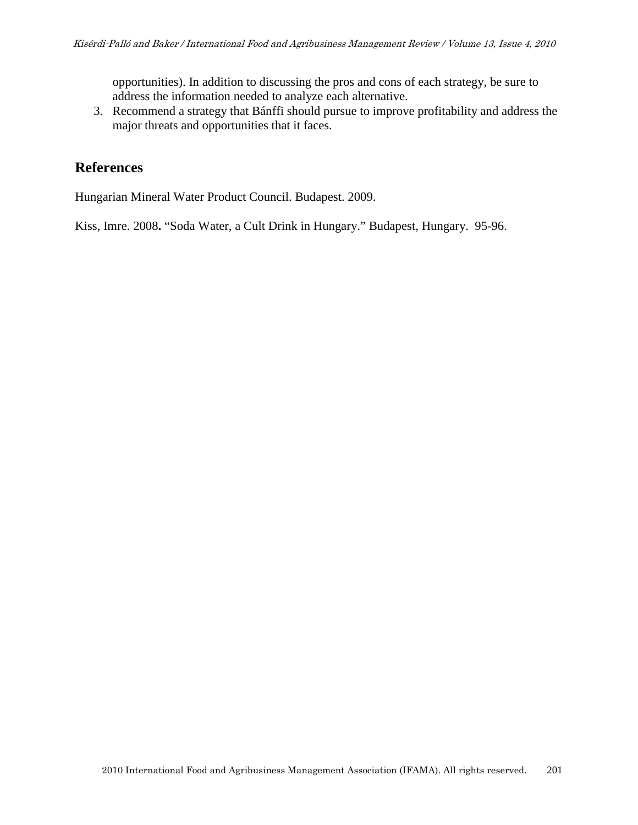opportunities). In addition to discussing the pros and cons of each strategy, be sure to address the information needed to analyze each alternative.

3. Recommend a strategy that Bánffi should pursue to improve profitability and address the major threats and opportunities that it faces.

# **References**

Hungarian Mineral Water Product Council. Budapest. 2009.

Kiss, Imre. 2008**.** "Soda Water, a Cult Drink in Hungary." Budapest, Hungary. 95-96.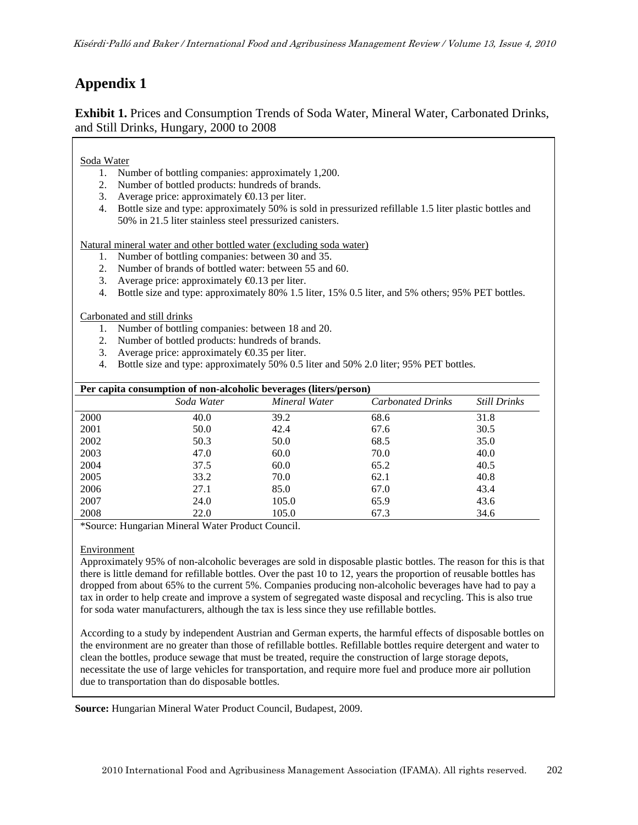# **Appendix 1**

**Exhibit 1.** Prices and Consumption Trends of Soda Water, Mineral Water, Carbonated Drinks, and Still Drinks, Hungary, 2000 to 2008

#### Soda Water

- 1. Number of bottling companies: approximately 1,200.
- 2. Number of bottled products: hundreds of brands.
- 3. Average price: approximately  $\epsilon$ 0.13 per liter.
- 4. Bottle size and type: approximately 50% is sold in pressurized refillable 1.5 liter plastic bottles and 50% in 21.5 liter stainless steel pressurized canisters.

Natural mineral water and other bottled water (excluding soda water)

- 1. Number of bottling companies: between 30 and 35.
- 2. Number of brands of bottled water: between 55 and 60.
- 3. Average price: approximately  $\epsilon$ 0.13 per liter.
- 4. Bottle size and type: approximately 80% 1.5 liter, 15% 0.5 liter, and 5% others; 95% PET bottles.

Carbonated and still drinks

- 1. Number of bottling companies: between 18 and 20.
- 2. Number of bottled products: hundreds of brands.
- 3. Average price: approximately  $\epsilon$ 0.35 per liter.
- 4. Bottle size and type: approximately 50% 0.5 liter and 50% 2.0 liter; 95% PET bottles.

| Per capita consumption of non-alcoholic beverages (liters/person) |            |               |                          |                     |  |  |
|-------------------------------------------------------------------|------------|---------------|--------------------------|---------------------|--|--|
|                                                                   | Soda Water | Mineral Water | <b>Carbonated Drinks</b> | <b>Still Drinks</b> |  |  |
| 2000                                                              | 40.0       | 39.2          | 68.6                     | 31.8                |  |  |
| 2001                                                              | 50.0       | 42.4          | 67.6                     | 30.5                |  |  |
| 2002                                                              | 50.3       | 50.0          | 68.5                     | 35.0                |  |  |
| 2003                                                              | 47.0       | 60.0          | 70.0                     | 40.0                |  |  |
| 2004                                                              | 37.5       | 60.0          | 65.2                     | 40.5                |  |  |
| 2005                                                              | 33.2       | 70.0          | 62.1                     | 40.8                |  |  |
| 2006                                                              | 27.1       | 85.0          | 67.0                     | 43.4                |  |  |
| 2007                                                              | 24.0       | 105.0         | 65.9                     | 43.6                |  |  |
| 2008                                                              | 22.0       | 105.0         | 67.3                     | 34.6                |  |  |

\*Source: Hungarian Mineral Water Product Council.

#### Environment

Approximately 95% of non-alcoholic beverages are sold in disposable plastic bottles. The reason for this is that there is little demand for refillable bottles. Over the past 10 to 12, years the proportion of reusable bottles has dropped from about 65% to the current 5%. Companies producing non-alcoholic beverages have had to pay a tax in order to help create and improve a system of segregated waste disposal and recycling. This is also true for soda water manufacturers, although the tax is less since they use refillable bottles.

According to a study by independent Austrian and German experts, the harmful effects of disposable bottles on the environment are no greater than those of refillable bottles. Refillable bottles require detergent and water to clean the bottles, produce sewage that must be treated, require the construction of large storage depots, necessitate the use of large vehicles for transportation, and require more fuel and produce more air pollution due to transportation than do disposable bottles.

**Source:** Hungarian Mineral Water Product Council, Budapest, 2009.